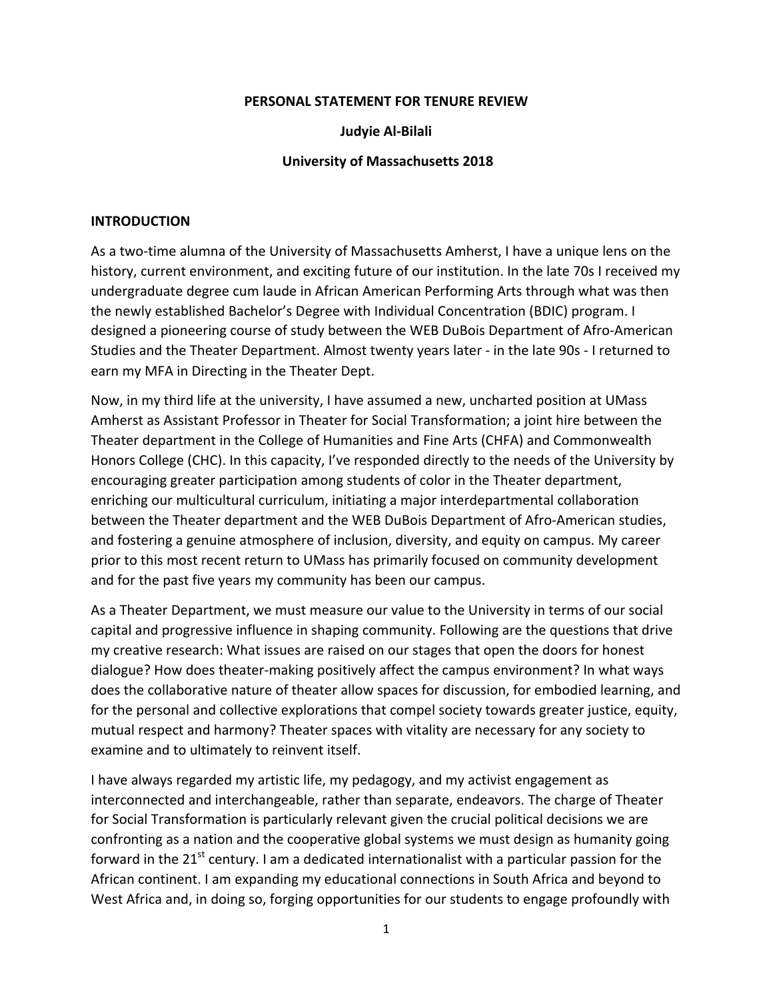#### **PERSONAL STATEMENT FOR TENURE REVIEW**

#### **Judyie Al-Bilali**

#### **University of Massachusetts 2018**

#### **INTRODUCTION**

As a two-time alumna of the University of Massachusetts Amherst, I have a unique lens on the history, current environment, and exciting future of our institution. In the late 70s I received my undergraduate degree cum laude in African American Performing Arts through what was then the newly established Bachelor's Degree with Individual Concentration (BDIC) program. I designed a pioneering course of study between the WEB DuBois Department of Afro-American Studies and the Theater Department. Almost twenty years later - in the late 90s - I returned to earn my MFA in Directing in the Theater Dept.

Now, in my third life at the university, I have assumed a new, uncharted position at UMass Amherst as Assistant Professor in Theater for Social Transformation; a joint hire between the Theater department in the College of Humanities and Fine Arts (CHFA) and Commonwealth Honors College (CHC). In this capacity, I've responded directly to the needs of the University by encouraging greater participation among students of color in the Theater department, enriching our multicultural curriculum, initiating a major interdepartmental collaboration between the Theater department and the WEB DuBois Department of Afro-American studies, and fostering a genuine atmosphere of inclusion, diversity, and equity on campus. My career prior to this most recent return to UMass has primarily focused on community development and for the past five years my community has been our campus.

As a Theater Department, we must measure our value to the University in terms of our social capital and progressive influence in shaping community. Following are the questions that drive my creative research: What issues are raised on our stages that open the doors for honest dialogue? How does theater-making positively affect the campus environment? In what ways does the collaborative nature of theater allow spaces for discussion, for embodied learning, and for the personal and collective explorations that compel society towards greater justice, equity, mutual respect and harmony? Theater spaces with vitality are necessary for any society to examine and to ultimately to reinvent itself.

I have always regarded my artistic life, my pedagogy, and my activist engagement as interconnected and interchangeable, rather than separate, endeavors. The charge of Theater for Social Transformation is particularly relevant given the crucial political decisions we are confronting as a nation and the cooperative global systems we must design as humanity going forward in the  $21<sup>st</sup>$  century. I am a dedicated internationalist with a particular passion for the African continent. I am expanding my educational connections in South Africa and beyond to West Africa and, in doing so, forging opportunities for our students to engage profoundly with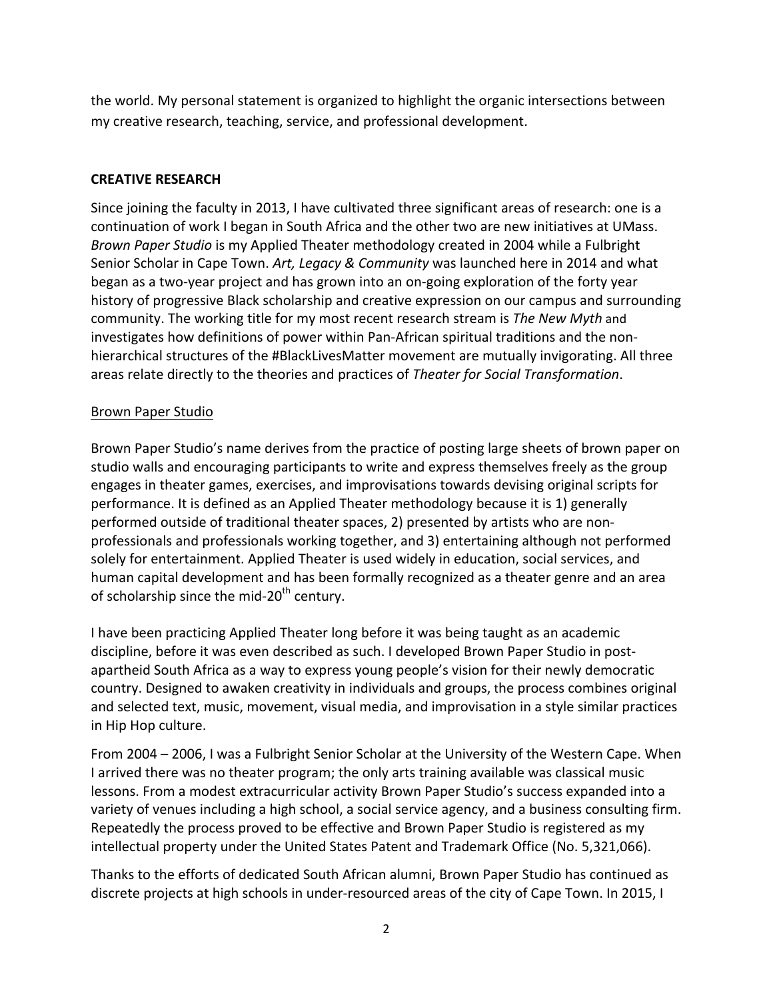the world. My personal statement is organized to highlight the organic intersections between my creative research, teaching, service, and professional development.

### **CREATIVE RESEARCH**

Since joining the faculty in 2013, I have cultivated three significant areas of research: one is a continuation of work I began in South Africa and the other two are new initiatives at UMass. *Brown Paper Studio* is my Applied Theater methodology created in 2004 while a Fulbright Senior Scholar in Cape Town. Art, Legacy & Community was launched here in 2014 and what began as a two-year project and has grown into an on-going exploration of the forty year history of progressive Black scholarship and creative expression on our campus and surrounding community. The working title for my most recent research stream is The New Myth and investigates how definitions of power within Pan-African spiritual traditions and the nonhierarchical structures of the #BlackLivesMatter movement are mutually invigorating. All three areas relate directly to the theories and practices of *Theater for Social Transformation*.

#### Brown Paper Studio

Brown Paper Studio's name derives from the practice of posting large sheets of brown paper on studio walls and encouraging participants to write and express themselves freely as the group engages in theater games, exercises, and improvisations towards devising original scripts for performance. It is defined as an Applied Theater methodology because it is 1) generally performed outside of traditional theater spaces, 2) presented by artists who are nonprofessionals and professionals working together, and 3) entertaining although not performed solely for entertainment. Applied Theater is used widely in education, social services, and human capital development and has been formally recognized as a theater genre and an area of scholarship since the mid-20<sup>th</sup> century.

I have been practicing Applied Theater long before it was being taught as an academic discipline, before it was even described as such. I developed Brown Paper Studio in postapartheid South Africa as a way to express young people's vision for their newly democratic country. Designed to awaken creativity in individuals and groups, the process combines original and selected text, music, movement, visual media, and improvisation in a style similar practices in Hip Hop culture.

From 2004 – 2006, I was a Fulbright Senior Scholar at the University of the Western Cape. When I arrived there was no theater program; the only arts training available was classical music lessons. From a modest extracurricular activity Brown Paper Studio's success expanded into a variety of venues including a high school, a social service agency, and a business consulting firm. Repeatedly the process proved to be effective and Brown Paper Studio is registered as my intellectual property under the United States Patent and Trademark Office (No. 5,321,066).

Thanks to the efforts of dedicated South African alumni, Brown Paper Studio has continued as discrete projects at high schools in under-resourced areas of the city of Cape Town. In 2015, I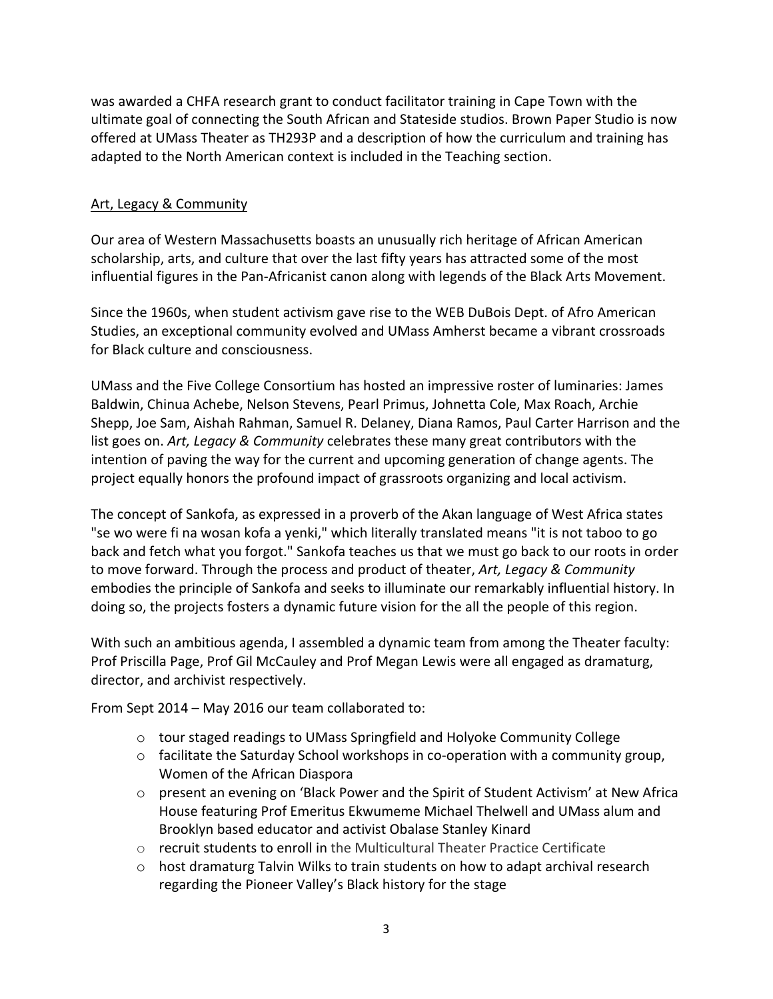was awarded a CHFA research grant to conduct facilitator training in Cape Town with the ultimate goal of connecting the South African and Stateside studios. Brown Paper Studio is now offered at UMass Theater as TH293P and a description of how the curriculum and training has adapted to the North American context is included in the Teaching section.

#### Art, Legacy & Community

Our area of Western Massachusetts boasts an unusually rich heritage of African American scholarship, arts, and culture that over the last fifty years has attracted some of the most influential figures in the Pan-Africanist canon along with legends of the Black Arts Movement.

Since the 1960s, when student activism gave rise to the WEB DuBois Dept. of Afro American Studies, an exceptional community evolved and UMass Amherst became a vibrant crossroads for Black culture and consciousness.

UMass and the Five College Consortium has hosted an impressive roster of luminaries: James Baldwin, Chinua Achebe, Nelson Stevens, Pearl Primus, Johnetta Cole, Max Roach, Archie Shepp, Joe Sam, Aishah Rahman, Samuel R. Delaney, Diana Ramos, Paul Carter Harrison and the list goes on. *Art, Legacy & Community* celebrates these many great contributors with the intention of paving the way for the current and upcoming generation of change agents. The project equally honors the profound impact of grassroots organizing and local activism.

The concept of Sankofa, as expressed in a proverb of the Akan language of West Africa states "se wo were fi na wosan kofa a yenki," which literally translated means "it is not taboo to go back and fetch what you forgot." Sankofa teaches us that we must go back to our roots in order to move forward. Through the process and product of theater, *Art, Legacy & Community* embodies the principle of Sankofa and seeks to illuminate our remarkably influential history. In doing so, the projects fosters a dynamic future vision for the all the people of this region.

With such an ambitious agenda, I assembled a dynamic team from among the Theater faculty: Prof Priscilla Page, Prof Gil McCauley and Prof Megan Lewis were all engaged as dramaturg, director, and archivist respectively.

From Sept 2014 – May 2016 our team collaborated to:

- $\circ$  tour staged readings to UMass Springfield and Holyoke Community College
- $\circ$  facilitate the Saturday School workshops in co-operation with a community group, Women of the African Diaspora
- $\circ$  present an evening on 'Black Power and the Spirit of Student Activism' at New Africa House featuring Prof Emeritus Ekwumeme Michael Thelwell and UMass alum and Brooklyn based educator and activist Obalase Stanley Kinard
- $\circ$  recruit students to enroll in the Multicultural Theater Practice Certificate
- $\circ$  host dramaturg Talvin Wilks to train students on how to adapt archival research regarding the Pioneer Valley's Black history for the stage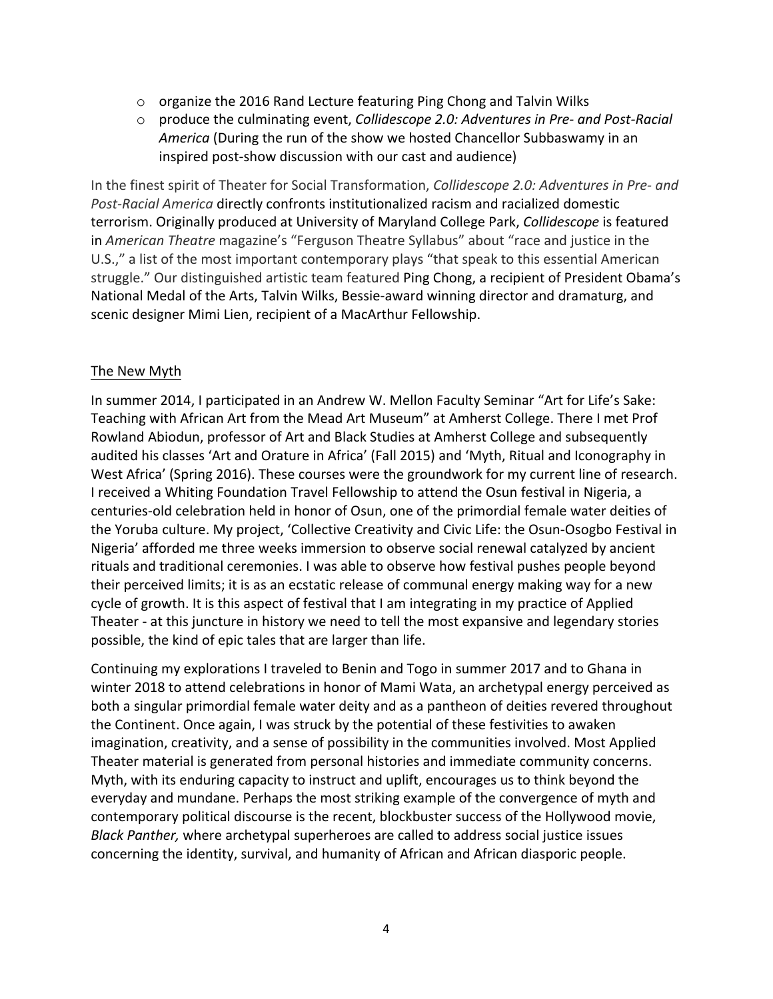- $\circ$  organize the 2016 Rand Lecture featuring Ping Chong and Talvin Wilks
- $\circ$  produce the culminating event, *Collidescope 2.0: Adventures in Pre- and Post-Racial America* (During the run of the show we hosted Chancellor Subbaswamy in an inspired post-show discussion with our cast and audience)

In the finest spirit of Theater for Social Transformation, *Collidescope* 2.0: Adventures in Pre- and Post-Racial America directly confronts institutionalized racism and racialized domestic terrorism. Originally produced at University of Maryland College Park, *Collidescope* is featured in *American Theatre* magazine's "Ferguson Theatre Syllabus" about "race and justice in the U.S.," a list of the most important contemporary plays "that speak to this essential American struggle." Our distinguished artistic team featured Ping Chong, a recipient of President Obama's National Medal of the Arts, Talvin Wilks, Bessie-award winning director and dramaturg, and scenic designer Mimi Lien, recipient of a MacArthur Fellowship.

### The New Myth

In summer 2014, I participated in an Andrew W. Mellon Faculty Seminar "Art for Life's Sake: Teaching with African Art from the Mead Art Museum" at Amherst College. There I met Prof Rowland Abiodun, professor of Art and Black Studies at Amherst College and subsequently audited his classes 'Art and Orature in Africa' (Fall 2015) and 'Myth, Ritual and Iconography in West Africa' (Spring 2016). These courses were the groundwork for my current line of research. I received a Whiting Foundation Travel Fellowship to attend the Osun festival in Nigeria, a centuries-old celebration held in honor of Osun, one of the primordial female water deities of the Yoruba culture. My project, 'Collective Creativity and Civic Life: the Osun-Osogbo Festival in Nigeria' afforded me three weeks immersion to observe social renewal catalyzed by ancient rituals and traditional ceremonies. I was able to observe how festival pushes people beyond their perceived limits; it is as an ecstatic release of communal energy making way for a new cycle of growth. It is this aspect of festival that I am integrating in my practice of Applied Theater - at this juncture in history we need to tell the most expansive and legendary stories possible, the kind of epic tales that are larger than life.

Continuing my explorations I traveled to Benin and Togo in summer 2017 and to Ghana in winter 2018 to attend celebrations in honor of Mami Wata, an archetypal energy perceived as both a singular primordial female water deity and as a pantheon of deities revered throughout the Continent. Once again, I was struck by the potential of these festivities to awaken imagination, creativity, and a sense of possibility in the communities involved. Most Applied Theater material is generated from personal histories and immediate community concerns. Myth, with its enduring capacity to instruct and uplift, encourages us to think beyond the everyday and mundane. Perhaps the most striking example of the convergence of myth and contemporary political discourse is the recent, blockbuster success of the Hollywood movie, *Black Panther,* where archetypal superheroes are called to address social justice issues concerning the identity, survival, and humanity of African and African diasporic people.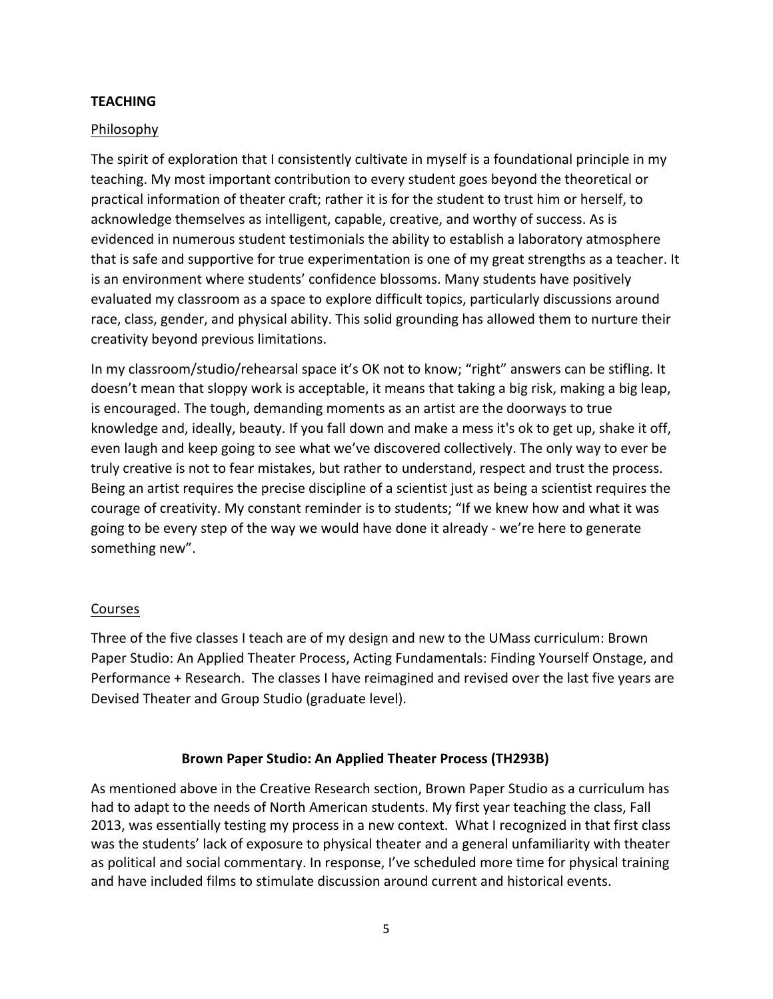#### **TEACHING**

### Philosophy

The spirit of exploration that I consistently cultivate in myself is a foundational principle in my teaching. My most important contribution to every student goes beyond the theoretical or practical information of theater craft; rather it is for the student to trust him or herself, to acknowledge themselves as intelligent, capable, creative, and worthy of success. As is evidenced in numerous student testimonials the ability to establish a laboratory atmosphere that is safe and supportive for true experimentation is one of my great strengths as a teacher. It is an environment where students' confidence blossoms. Many students have positively evaluated my classroom as a space to explore difficult topics, particularly discussions around race, class, gender, and physical ability. This solid grounding has allowed them to nurture their creativity beyond previous limitations.

In my classroom/studio/rehearsal space it's OK not to know; "right" answers can be stifling. It doesn't mean that sloppy work is acceptable, it means that taking a big risk, making a big leap, is encouraged. The tough, demanding moments as an artist are the doorways to true knowledge and, ideally, beauty. If you fall down and make a mess it's ok to get up, shake it off, even laugh and keep going to see what we've discovered collectively. The only way to ever be truly creative is not to fear mistakes, but rather to understand, respect and trust the process. Being an artist requires the precise discipline of a scientist just as being a scientist requires the courage of creativity. My constant reminder is to students; "If we knew how and what it was going to be every step of the way we would have done it already - we're here to generate something new".

#### **Courses**

Three of the five classes I teach are of my design and new to the UMass curriculum: Brown Paper Studio: An Applied Theater Process, Acting Fundamentals: Finding Yourself Onstage, and Performance + Research. The classes I have reimagined and revised over the last five years are Devised Theater and Group Studio (graduate level).

#### **Brown Paper Studio: An Applied Theater Process (TH293B)**

As mentioned above in the Creative Research section, Brown Paper Studio as a curriculum has had to adapt to the needs of North American students. My first year teaching the class, Fall 2013, was essentially testing my process in a new context. What I recognized in that first class was the students' lack of exposure to physical theater and a general unfamiliarity with theater as political and social commentary. In response, I've scheduled more time for physical training and have included films to stimulate discussion around current and historical events.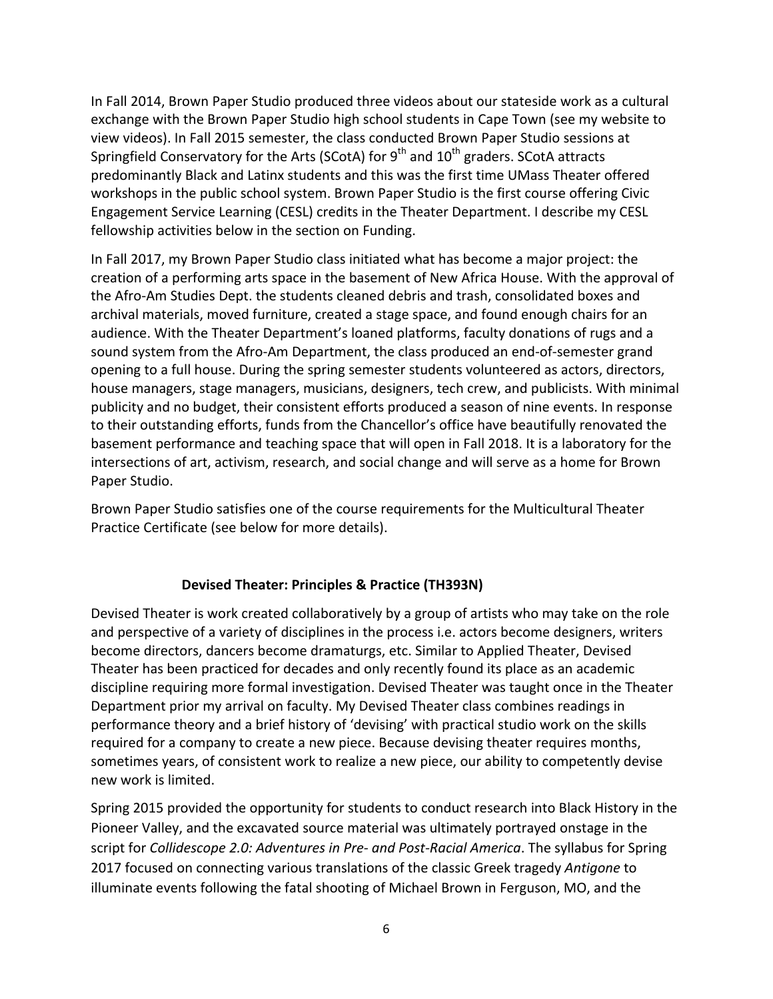In Fall 2014, Brown Paper Studio produced three videos about our stateside work as a cultural exchange with the Brown Paper Studio high school students in Cape Town (see my website to view videos). In Fall 2015 semester, the class conducted Brown Paper Studio sessions at Springfield Conservatory for the Arts (SCotA) for  $9<sup>th</sup>$  and  $10<sup>th</sup>$  graders. SCotA attracts predominantly Black and Latinx students and this was the first time UMass Theater offered workshops in the public school system. Brown Paper Studio is the first course offering Civic Engagement Service Learning (CESL) credits in the Theater Department. I describe my CESL fellowship activities below in the section on Funding.

In Fall 2017, my Brown Paper Studio class initiated what has become a major project: the creation of a performing arts space in the basement of New Africa House. With the approval of the Afro-Am Studies Dept. the students cleaned debris and trash, consolidated boxes and archival materials, moved furniture, created a stage space, and found enough chairs for an audience. With the Theater Department's loaned platforms, faculty donations of rugs and a sound system from the Afro-Am Department, the class produced an end-of-semester grand opening to a full house. During the spring semester students volunteered as actors, directors, house managers, stage managers, musicians, designers, tech crew, and publicists. With minimal publicity and no budget, their consistent efforts produced a season of nine events. In response to their outstanding efforts, funds from the Chancellor's office have beautifully renovated the basement performance and teaching space that will open in Fall 2018. It is a laboratory for the intersections of art, activism, research, and social change and will serve as a home for Brown Paper Studio.

Brown Paper Studio satisfies one of the course requirements for the Multicultural Theater Practice Certificate (see below for more details).

#### **Devised Theater: Principles & Practice (TH393N)**

Devised Theater is work created collaboratively by a group of artists who may take on the role and perspective of a variety of disciplines in the process i.e. actors become designers, writers become directors, dancers become dramaturgs, etc. Similar to Applied Theater, Devised Theater has been practiced for decades and only recently found its place as an academic discipline requiring more formal investigation. Devised Theater was taught once in the Theater Department prior my arrival on faculty. My Devised Theater class combines readings in performance theory and a brief history of 'devising' with practical studio work on the skills required for a company to create a new piece. Because devising theater requires months, sometimes years, of consistent work to realize a new piece, our ability to competently devise new work is limited.

Spring 2015 provided the opportunity for students to conduct research into Black History in the Pioneer Valley, and the excavated source material was ultimately portrayed onstage in the script for *Collidescope 2.0: Adventures in Pre- and Post-Racial America*. The syllabus for Spring 2017 focused on connecting various translations of the classic Greek tragedy *Antigone* to illuminate events following the fatal shooting of Michael Brown in Ferguson, MO, and the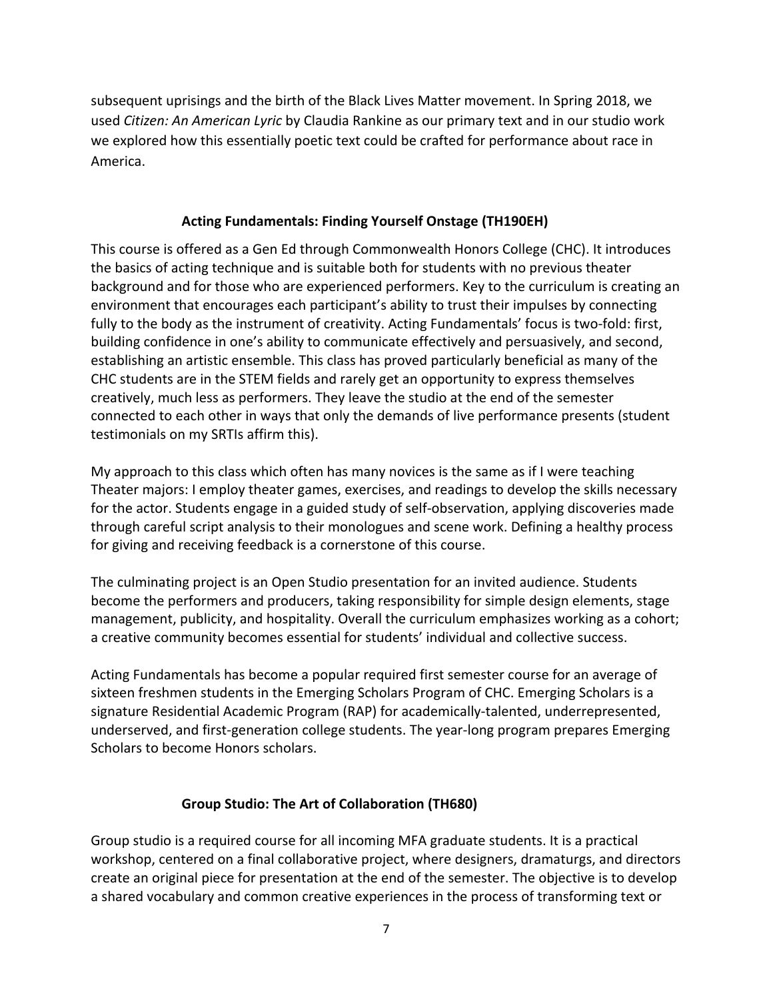subsequent uprisings and the birth of the Black Lives Matter movement. In Spring 2018, we used *Citizen: An American Lyric* by Claudia Rankine as our primary text and in our studio work we explored how this essentially poetic text could be crafted for performance about race in America.

# Acting Fundamentals: Finding Yourself Onstage (TH190EH)

This course is offered as a Gen Ed through Commonwealth Honors College (CHC). It introduces the basics of acting technique and is suitable both for students with no previous theater background and for those who are experienced performers. Key to the curriculum is creating an environment that encourages each participant's ability to trust their impulses by connecting fully to the body as the instrument of creativity. Acting Fundamentals' focus is two-fold: first, building confidence in one's ability to communicate effectively and persuasively, and second, establishing an artistic ensemble. This class has proved particularly beneficial as many of the CHC students are in the STEM fields and rarely get an opportunity to express themselves creatively, much less as performers. They leave the studio at the end of the semester connected to each other in ways that only the demands of live performance presents (student testimonials on my SRTIs affirm this).

My approach to this class which often has many novices is the same as if I were teaching Theater majors: I employ theater games, exercises, and readings to develop the skills necessary for the actor. Students engage in a guided study of self-observation, applying discoveries made through careful script analysis to their monologues and scene work. Defining a healthy process for giving and receiving feedback is a cornerstone of this course.

The culminating project is an Open Studio presentation for an invited audience. Students become the performers and producers, taking responsibility for simple design elements, stage management, publicity, and hospitality. Overall the curriculum emphasizes working as a cohort; a creative community becomes essential for students' individual and collective success.

Acting Fundamentals has become a popular required first semester course for an average of sixteen freshmen students in the Emerging Scholars Program of CHC. Emerging Scholars is a signature Residential Academic Program (RAP) for academically-talented, underrepresented, underserved, and first-generation college students. The year-long program prepares Emerging Scholars to become Honors scholars.

# **Group Studio: The Art of Collaboration (TH680)**

Group studio is a required course for all incoming MFA graduate students. It is a practical workshop, centered on a final collaborative project, where designers, dramaturgs, and directors create an original piece for presentation at the end of the semester. The objective is to develop a shared vocabulary and common creative experiences in the process of transforming text or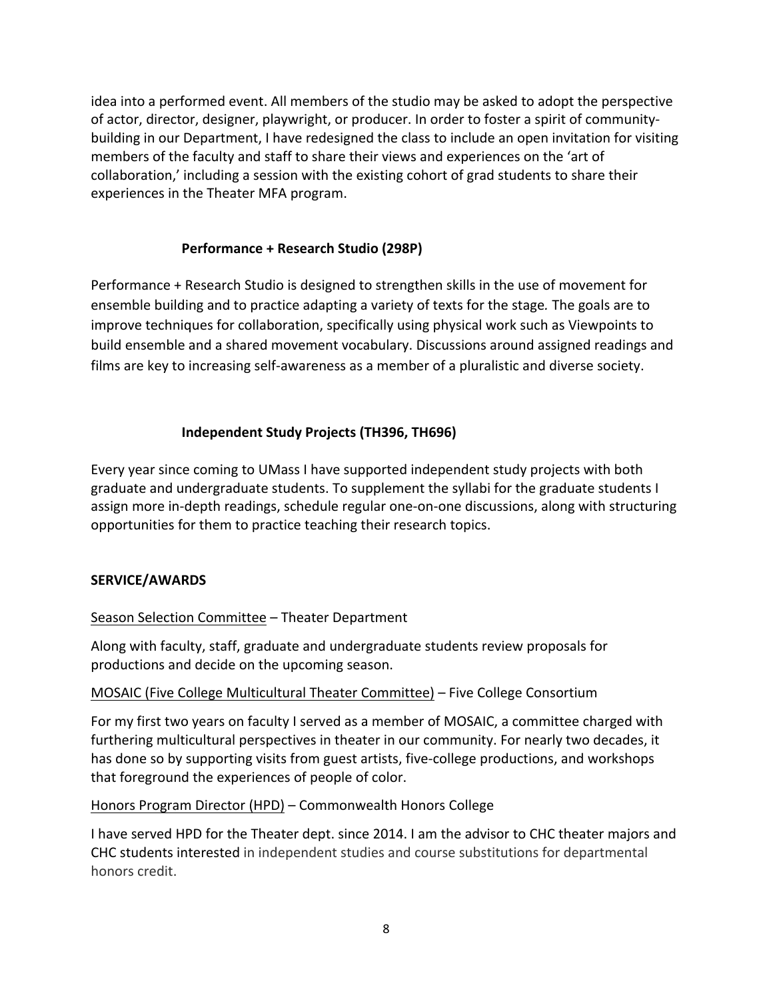idea into a performed event. All members of the studio may be asked to adopt the perspective of actor, director, designer, playwright, or producer. In order to foster a spirit of communitybuilding in our Department, I have redesigned the class to include an open invitation for visiting members of the faculty and staff to share their views and experiences on the 'art of collaboration,' including a session with the existing cohort of grad students to share their experiences in the Theater MFA program.

# **Performance + Research Studio (298P)**

Performance + Research Studio is designed to strengthen skills in the use of movement for ensemble building and to practice adapting a variety of texts for the stage. The goals are to improve techniques for collaboration, specifically using physical work such as Viewpoints to build ensemble and a shared movement vocabulary. Discussions around assigned readings and films are key to increasing self-awareness as a member of a pluralistic and diverse society.

# **Independent Study Projects (TH396, TH696)**

Every year since coming to UMass I have supported independent study projects with both graduate and undergraduate students. To supplement the syllabi for the graduate students I assign more in-depth readings, schedule regular one-on-one discussions, along with structuring opportunities for them to practice teaching their research topics.

# **SERVICE/AWARDS**

# Season Selection Committee – Theater Department

Along with faculty, staff, graduate and undergraduate students review proposals for productions and decide on the upcoming season.

# MOSAIC (Five College Multicultural Theater Committee) – Five College Consortium

For my first two years on faculty I served as a member of MOSAIC, a committee charged with furthering multicultural perspectives in theater in our community. For nearly two decades, it has done so by supporting visits from guest artists, five-college productions, and workshops that foreground the experiences of people of color.

# Honors Program Director (HPD) – Commonwealth Honors College

I have served HPD for the Theater dept. since 2014. I am the advisor to CHC theater majors and CHC students interested in independent studies and course substitutions for departmental honors credit.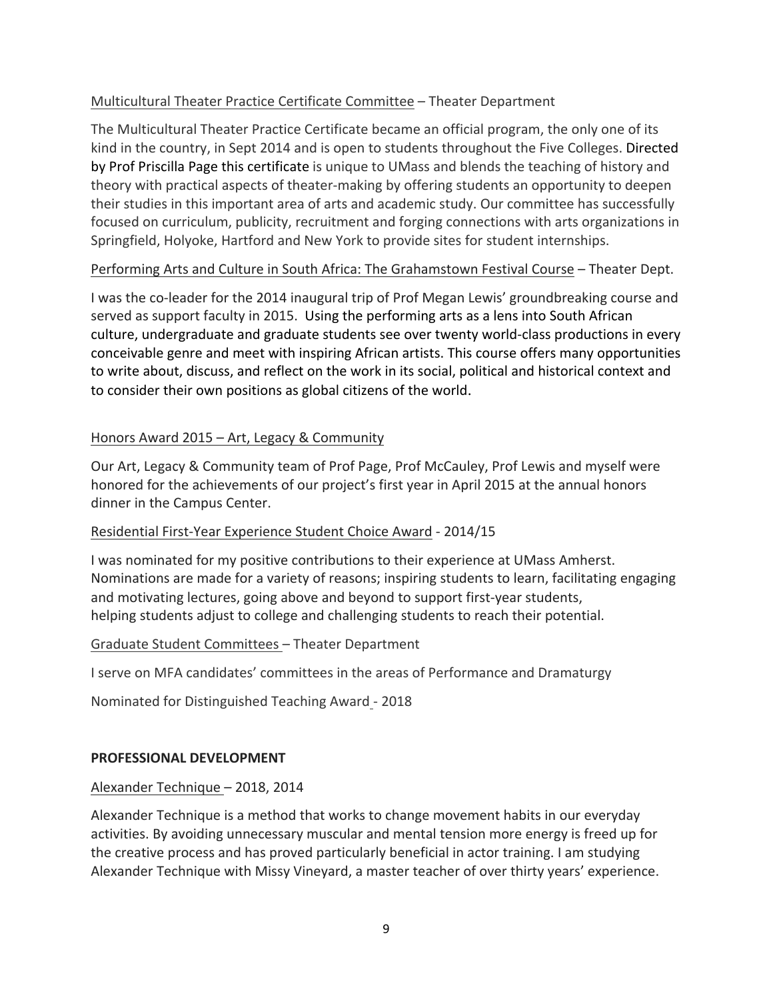# Multicultural Theater Practice Certificate Committee – Theater Department

The Multicultural Theater Practice Certificate became an official program, the only one of its kind in the country, in Sept 2014 and is open to students throughout the Five Colleges. Directed by Prof Priscilla Page this certificate is unique to UMass and blends the teaching of history and theory with practical aspects of theater-making by offering students an opportunity to deepen their studies in this important area of arts and academic study. Our committee has successfully focused on curriculum, publicity, recruitment and forging connections with arts organizations in Springfield, Holyoke, Hartford and New York to provide sites for student internships.

# Performing Arts and Culture in South Africa: The Grahamstown Festival Course - Theater Dept.

I was the co-leader for the 2014 inaugural trip of Prof Megan Lewis' groundbreaking course and served as support faculty in 2015. Using the performing arts as a lens into South African culture, undergraduate and graduate students see over twenty world-class productions in every conceivable genre and meet with inspiring African artists. This course offers many opportunities to write about, discuss, and reflect on the work in its social, political and historical context and to consider their own positions as global citizens of the world.

# Honors Award  $2015 - Art$ , Legacy & Community

Our Art, Legacy & Community team of Prof Page, Prof McCauley, Prof Lewis and myself were honored for the achievements of our project's first year in April 2015 at the annual honors dinner in the Campus Center.

# Residential First-Year Experience Student Choice Award - 2014/15

I was nominated for my positive contributions to their experience at UMass Amherst. Nominations are made for a variety of reasons; inspiring students to learn, facilitating engaging and motivating lectures, going above and beyond to support first-year students, helping students adjust to college and challenging students to reach their potential.

# Graduate Student Committees - Theater Department

I serve on MFA candidates' committees in the areas of Performance and Dramaturgy

Nominated for Distinguished Teaching Award - 2018

# **PROFESSIONAL DEVELOPMENT**

# Alexander Technique – 2018, 2014

Alexander Technique is a method that works to change movement habits in our everyday activities. By avoiding unnecessary muscular and mental tension more energy is freed up for the creative process and has proved particularly beneficial in actor training. I am studying Alexander Technique with Missy Vineyard, a master teacher of over thirty years' experience.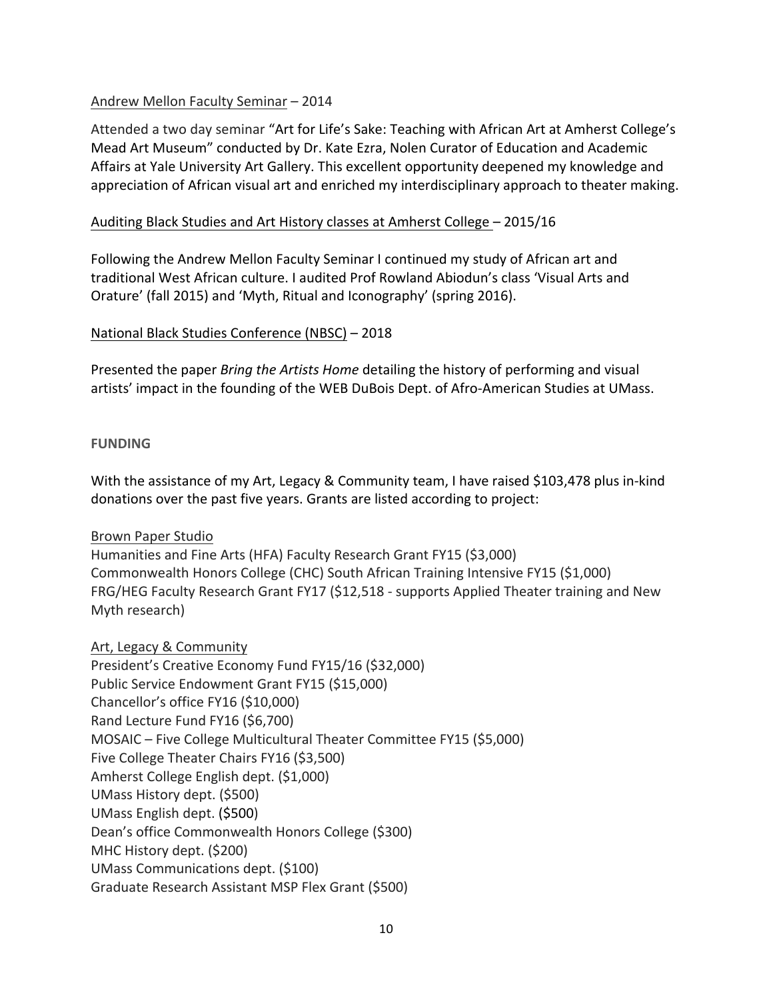### Andrew Mellon Faculty Seminar - 2014

Attended a two day seminar "Art for Life's Sake: Teaching with African Art at Amherst College's Mead Art Museum" conducted by Dr. Kate Ezra, Nolen Curator of Education and Academic Affairs at Yale University Art Gallery. This excellent opportunity deepened my knowledge and appreciation of African visual art and enriched my interdisciplinary approach to theater making.

### Auditing Black Studies and Art History classes at Amherst College – 2015/16

Following the Andrew Mellon Faculty Seminar I continued my study of African art and traditional West African culture. I audited Prof Rowland Abiodun's class 'Visual Arts and Orature' (fall 2015) and 'Myth, Ritual and Iconography' (spring 2016).

### National Black Studies Conference (NBSC) – 2018

Presented the paper *Bring the Artists Home* detailing the history of performing and visual artists' impact in the founding of the WEB DuBois Dept. of Afro-American Studies at UMass.

#### **FUNDING**

With the assistance of my Art, Legacy & Community team, I have raised \$103,478 plus in-kind donations over the past five years. Grants are listed according to project:

#### Brown Paper Studio

Humanities and Fine Arts (HFA) Faculty Research Grant FY15 (\$3,000) Commonwealth Honors College (CHC) South African Training Intensive FY15 (\$1,000) FRG/HEG Faculty Research Grant FY17 (\$12,518 - supports Applied Theater training and New Myth research)

# Art, Legacy & Community

President's Creative Economy Fund FY15/16 (\$32,000) Public Service Endowment Grant FY15 (\$15,000) Chancellor's office FY16 (\$10,000) Rand Lecture Fund FY16 (\$6,700) MOSAIC – Five College Multicultural Theater Committee FY15 (\$5,000) Five College Theater Chairs FY16 (\$3,500) Amherst College English dept. (\$1,000) UMass History dept. (\$500) UMass English dept. (\$500) Dean's office Commonwealth Honors College (\$300) MHC History dept. (\$200) UMass Communications dept. (\$100) Graduate Research Assistant MSP Flex Grant (\$500)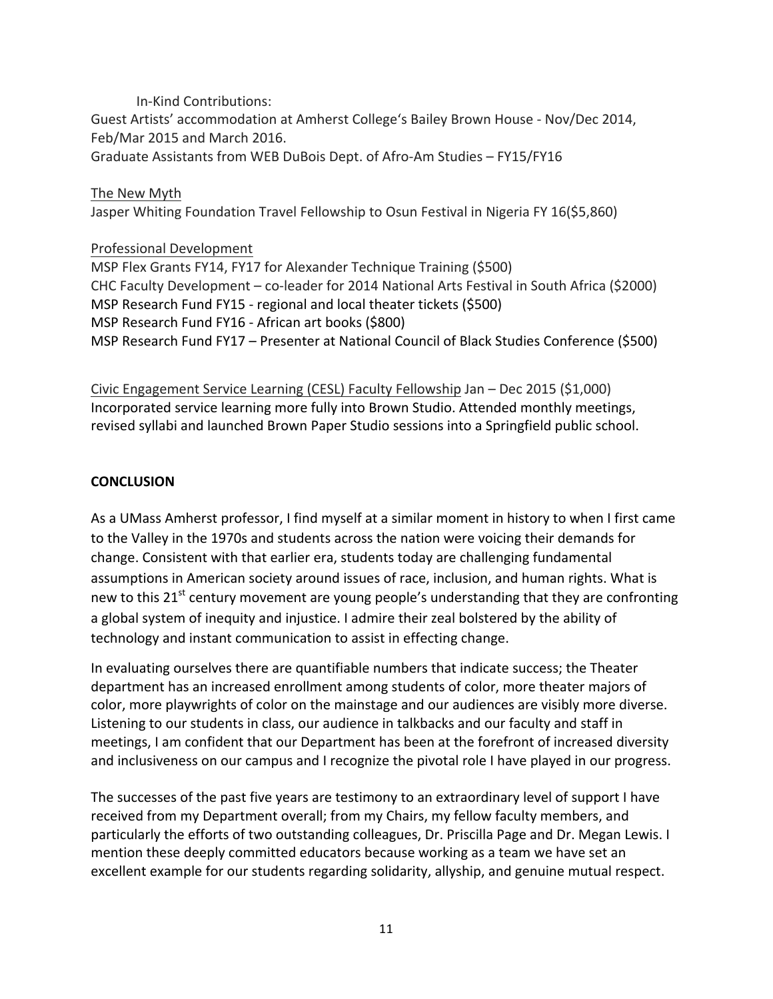In-Kind Contributions: Guest Artists' accommodation at Amherst College's Bailey Brown House - Nov/Dec 2014, Feb/Mar 2015 and March 2016. Graduate Assistants from WEB DuBois Dept. of Afro-Am Studies - FY15/FY16

#### The New Myth

Jasper Whiting Foundation Travel Fellowship to Osun Festival in Nigeria FY 16(\$5,860)

#### Professional Development

MSP Flex Grants FY14, FY17 for Alexander Technique Training (\$500) CHC Faculty Development - co-leader for 2014 National Arts Festival in South Africa (\$2000) MSP Research Fund FY15 - regional and local theater tickets (\$500) MSP Research Fund FY16 - African art books (\$800) MSP Research Fund FY17 – Presenter at National Council of Black Studies Conference (\$500)

Civic Engagement Service Learning (CESL) Faculty Fellowship Jan - Dec 2015 (\$1,000) Incorporated service learning more fully into Brown Studio. Attended monthly meetings, revised syllabi and launched Brown Paper Studio sessions into a Springfield public school.

#### **CONCLUSION**

As a UMass Amherst professor, I find myself at a similar moment in history to when I first came to the Valley in the 1970s and students across the nation were voicing their demands for change. Consistent with that earlier era, students today are challenging fundamental assumptions in American society around issues of race, inclusion, and human rights. What is new to this  $21^{st}$  century movement are young people's understanding that they are confronting a global system of inequity and injustice. I admire their zeal bolstered by the ability of technology and instant communication to assist in effecting change.

In evaluating ourselves there are quantifiable numbers that indicate success; the Theater department has an increased enrollment among students of color, more theater majors of color, more playwrights of color on the mainstage and our audiences are visibly more diverse. Listening to our students in class, our audience in talkbacks and our faculty and staff in meetings, I am confident that our Department has been at the forefront of increased diversity and inclusiveness on our campus and I recognize the pivotal role I have played in our progress.

The successes of the past five years are testimony to an extraordinary level of support I have received from my Department overall; from my Chairs, my fellow faculty members, and particularly the efforts of two outstanding colleagues, Dr. Priscilla Page and Dr. Megan Lewis. I mention these deeply committed educators because working as a team we have set an excellent example for our students regarding solidarity, allyship, and genuine mutual respect.